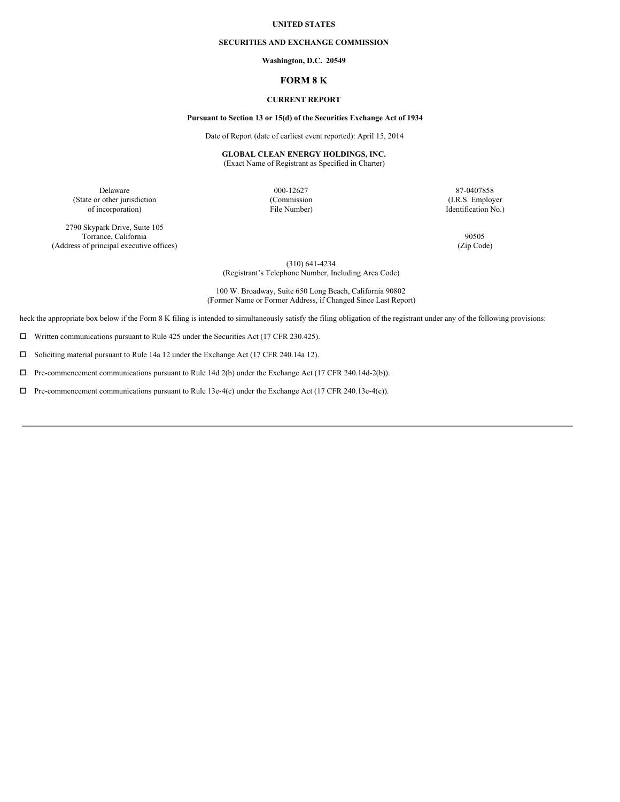### **UNITED STATES**

#### **SECURITIES AND EXCHANGE COMMISSION**

### **Washington, D.C. 20549**

## **FORM 8 K**

## **CURRENT REPORT**

### **Pursuant to Section 13 or 15(d) of the Securities Exchange Act of 1934**

Date of Report (date of earliest event reported): April 15, 2014

### **GLOBAL CLEAN ENERGY HOLDINGS, INC.** (Exact Name of Registrant as Specified in Charter)

(State or other jurisdiction (Commission (Commission (I.R.S. Employer of incorporation) (I.R.S. Employer of incorporation) of incorporation) File Number) Identification No.)

2790 Skypark Drive, Suite 105 Torrance, California 90505 (Address of principal executive offices) (Zip Code)

Delaware 87-0407858

(310) 641-4234 (Registrant's Telephone Number, Including Area Code)

100 W. Broadway, Suite 650 Long Beach, California 90802 (Former Name or Former Address, if Changed Since Last Report)

heck the appropriate box below if the Form 8 K filing is intended to simultaneously satisfy the filing obligation of the registrant under any of the following provisions:

 $\Box$  Written communications pursuant to Rule 425 under the Securities Act (17 CFR 230.425).

 $\square$  Soliciting material pursuant to Rule 14a 12 under the Exchange Act (17 CFR 240.14a 12).

 $\Box$  Pre-commencement communications pursuant to Rule 14d 2(b) under the Exchange Act (17 CFR 240.14d-2(b)).

 $\Box$  Pre-commencement communications pursuant to Rule 13e-4(c) under the Exchange Act (17 CFR 240.13e-4(c)).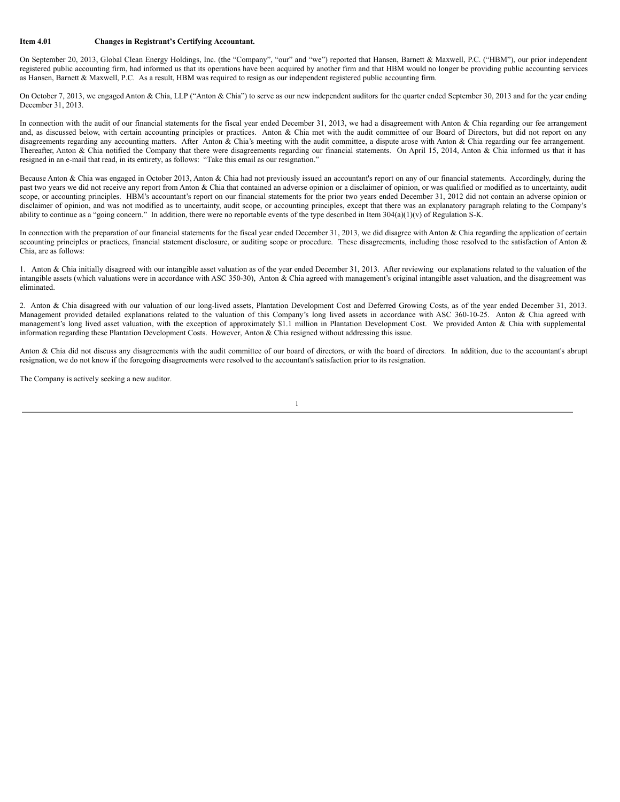### **Item 4.01 Changes in Registrant's Certifying Accountant.**

On September 20, 2013, Global Clean Energy Holdings, Inc. (the "Company", "our" and "we") reported that Hansen, Barnett & Maxwell, P.C. ("HBM"), our prior independent registered public accounting firm, had informed us that its operations have been acquired by another firm and that HBM would no longer be providing public accounting services as Hansen, Barnett & Maxwell, P.C. As a result, HBM was required to resign as our independent registered public accounting firm.

On October 7, 2013, we engaged Anton & Chia, LLP ("Anton & Chia") to serve as our new independent auditors for the quarter ended September 30, 2013 and for the year ending December 31, 2013.

In connection with the audit of our financial statements for the fiscal year ended December 31, 2013, we had a disagreement with Anton & Chia regarding our fee arrangement and, as discussed below, with certain accounting principles or practices. Anton & Chia met with the audit committee of our Board of Directors, but did not report on any disagreements regarding any accounting matters. After Anton & Chia's meeting with the audit committee, a dispute arose with Anton & Chia regarding our fee arrangement. Thereafter, Anton & Chia notified the Company that there were disagreements regarding our financial statements. On April 15, 2014, Anton & Chia informed us that it has resigned in an e-mail that read, in its entirety, as follows: "Take this email as our resignation."

Because Anton & Chia was engaged in October 2013, Anton & Chia had not previously issued an accountant's report on any of our financial statements. Accordingly, during the past two years we did not receive any report from Anton & Chia that contained an adverse opinion or a disclaimer of opinion, or was qualified or modified as to uncertainty, audit scope, or accounting principles. HBM's accountant's report on our financial statements for the prior two years ended December 31, 2012 did not contain an adverse opinion or disclaimer of opinion, and was not modified as to uncertainty, audit scope, or accounting principles, except that there was an explanatory paragraph relating to the Company's ability to continue as a "going concern." In addition, there were no reportable events of the type described in Item  $304(a)(1)(v)$  of Regulation S-K.

In connection with the preparation of our financial statements for the fiscal year ended December 31, 2013, we did disagree with Anton & Chia regarding the application of certain accounting principles or practices, financial statement disclosure, or auditing scope or procedure. These disagreements, including those resolved to the satisfaction of Anton & Chia, are as follows:

1. Anton & Chia initially disagreed with our intangible asset valuation as of the year ended December 31, 2013. After reviewing our explanations related to the valuation of the intangible assets (which valuations were in accordance with ASC 350-30), Anton & Chia agreed with management's original intangible asset valuation, and the disagreement was eliminated.

2. Anton & Chia disagreed with our valuation of our long-lived assets, Plantation Development Cost and Deferred Growing Costs, as of the year ended December 31, 2013. Management provided detailed explanations related to the valuation of this Company's long lived assets in accordance with ASC 360-10-25. Anton & Chia agreed with management's long lived asset valuation, with the exception of approximately \$1.1 million in Plantation Development Cost. We provided Anton & Chia with supplemental information regarding these Plantation Development Costs. However, Anton & Chia resigned without addressing this issue.

Anton & Chia did not discuss any disagreements with the audit committee of our board of directors, or with the board of directors. In addition, due to the accountant's abrupt resignation, we do not know if the foregoing disagreements were resolved to the accountant's satisfaction prior to its resignation.

1

The Company is actively seeking a new auditor.